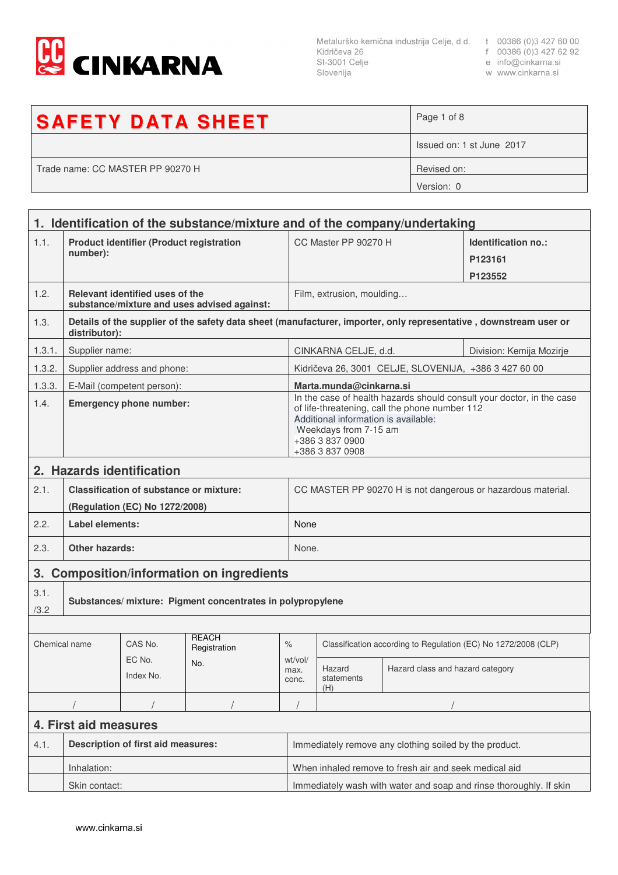

Slovenija

- 
- 
- w www.cinkarna.si

| <b>SAFETY DATA SHEET</b>         | Page 1 of 8               |
|----------------------------------|---------------------------|
|                                  | Issued on: 1 st June 2017 |
| Trade name: CC MASTER PP 90270 H | Revised on:               |
|                                  | Version: 0                |

|                       | 1. Identification of the substance/mixture and of the company/undertaking |                                 |                                                           |                                                              |                                                                                                                                                                                                                                |                                  |                                                                |  |
|-----------------------|---------------------------------------------------------------------------|---------------------------------|-----------------------------------------------------------|--------------------------------------------------------------|--------------------------------------------------------------------------------------------------------------------------------------------------------------------------------------------------------------------------------|----------------------------------|----------------------------------------------------------------|--|
| 1.1.                  | <b>Product identifier (Product registration</b><br>number):               |                                 |                                                           | CC Master PP 90270 H                                         |                                                                                                                                                                                                                                | Identification no.:<br>P123161   |                                                                |  |
|                       |                                                                           |                                 |                                                           |                                                              |                                                                                                                                                                                                                                |                                  | P123552                                                        |  |
| 1.2.                  |                                                                           | Relevant identified uses of the | substance/mixture and uses advised against:               |                                                              | Film, extrusion, moulding                                                                                                                                                                                                      |                                  |                                                                |  |
| 1.3.                  | distributor):                                                             |                                 |                                                           |                                                              | Details of the supplier of the safety data sheet (manufacturer, importer, only representative, downstream user or                                                                                                              |                                  |                                                                |  |
| 1.3.1.                | Supplier name:                                                            |                                 |                                                           |                                                              | CINKARNA CELJE, d.d.                                                                                                                                                                                                           |                                  | Division: Kemija Mozirje                                       |  |
| 1.3.2.                |                                                                           | Supplier address and phone:     |                                                           |                                                              |                                                                                                                                                                                                                                |                                  | Kidričeva 26, 3001 CELJE, SLOVENIJA, +386 3 427 60 00          |  |
| 1.3.3.                |                                                                           | E-Mail (competent person):      |                                                           |                                                              | Marta.munda@cinkarna.si                                                                                                                                                                                                        |                                  |                                                                |  |
| 1.4.                  | <b>Emergency phone number:</b>                                            |                                 |                                                           |                                                              | In the case of health hazards should consult your doctor, in the case<br>of life-threatening, call the phone number 112<br>Additional information is available:<br>Weekdays from 7-15 am<br>+386 3 837 0900<br>+386 3 837 0908 |                                  |                                                                |  |
|                       |                                                                           | 2. Hazards identification       |                                                           |                                                              |                                                                                                                                                                                                                                |                                  |                                                                |  |
| 2.1.                  | <b>Classification of substance or mixture:</b>                            |                                 |                                                           | CC MASTER PP 90270 H is not dangerous or hazardous material. |                                                                                                                                                                                                                                |                                  |                                                                |  |
| 2.2.                  | (Regulation (EC) No 1272/2008)<br>Label elements:                         |                                 |                                                           |                                                              | None                                                                                                                                                                                                                           |                                  |                                                                |  |
| 2.3.                  | <b>Other hazards:</b>                                                     |                                 |                                                           |                                                              | None.                                                                                                                                                                                                                          |                                  |                                                                |  |
| 3.                    |                                                                           |                                 | <b>Composition/information on ingredients</b>             |                                                              |                                                                                                                                                                                                                                |                                  |                                                                |  |
| 3.1.<br>/3.2          |                                                                           |                                 | Substances/mixture: Pigment concentrates in polypropylene |                                                              |                                                                                                                                                                                                                                |                                  |                                                                |  |
|                       |                                                                           |                                 |                                                           |                                                              |                                                                                                                                                                                                                                |                                  |                                                                |  |
| Chemical name         |                                                                           | CAS No.                         | <b>REACH</b><br>Registration                              | $\frac{1}{\sqrt{2}}$                                         |                                                                                                                                                                                                                                |                                  | Classification according to Regulation (EC) No 1272/2008 (CLP) |  |
|                       |                                                                           | EC No.<br>Index No.             | No.                                                       | wt/vol/<br>max.<br>conc.                                     | Hazard<br>statements<br>(H)                                                                                                                                                                                                    | Hazard class and hazard category |                                                                |  |
|                       |                                                                           |                                 |                                                           |                                                              |                                                                                                                                                                                                                                |                                  |                                                                |  |
| 4. First aid measures |                                                                           |                                 |                                                           |                                                              |                                                                                                                                                                                                                                |                                  |                                                                |  |
| 4.1.                  | <b>Description of first aid measures:</b>                                 |                                 |                                                           |                                                              | Immediately remove any clothing soiled by the product.                                                                                                                                                                         |                                  |                                                                |  |
|                       | Inhalation:                                                               |                                 |                                                           |                                                              | When inhaled remove to fresh air and seek medical aid                                                                                                                                                                          |                                  |                                                                |  |
|                       | Skin contact:                                                             |                                 |                                                           |                                                              | Immediately wash with water and soap and rinse thoroughly. If skin                                                                                                                                                             |                                  |                                                                |  |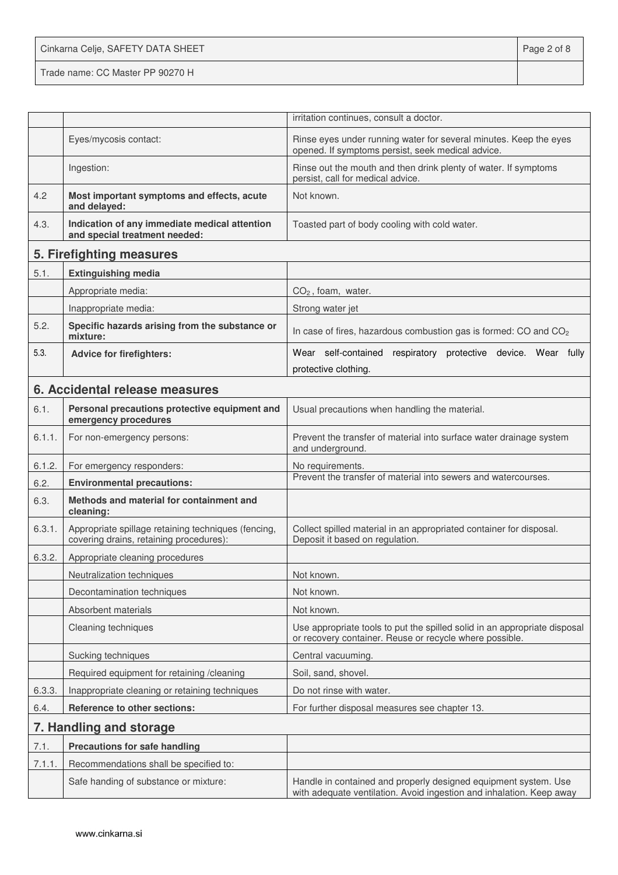Cinkarna Celje, SAFETY DATA SHEET **Page 2 of 8** Trade name: CC Master PP 90270 H

|        |                                                                                                | irritation continues, consult a doctor.                                                                                                 |
|--------|------------------------------------------------------------------------------------------------|-----------------------------------------------------------------------------------------------------------------------------------------|
|        | Eyes/mycosis contact:                                                                          | Rinse eyes under running water for several minutes. Keep the eyes<br>opened. If symptoms persist, seek medical advice.                  |
|        | Ingestion:                                                                                     | Rinse out the mouth and then drink plenty of water. If symptoms<br>persist, call for medical advice.                                    |
| 4.2    | Most important symptoms and effects, acute<br>and delayed:                                     | Not known.                                                                                                                              |
| 4.3.   | Indication of any immediate medical attention<br>and special treatment needed:                 | Toasted part of body cooling with cold water.                                                                                           |
|        | 5. Firefighting measures                                                                       |                                                                                                                                         |
| 5.1.   | <b>Extinguishing media</b>                                                                     |                                                                                                                                         |
|        | Appropriate media:                                                                             | $CO2$ , foam, water.                                                                                                                    |
|        | Inappropriate media:                                                                           | Strong water jet                                                                                                                        |
| 5.2.   | Specific hazards arising from the substance or<br>mixture:                                     | In case of fires, hazardous combustion gas is formed: CO and CO <sub>2</sub>                                                            |
| 5.3.   | <b>Advice for firefighters:</b>                                                                | Wear self-contained respiratory protective device. Wear fully                                                                           |
|        |                                                                                                | protective clothing.                                                                                                                    |
|        | 6. Accidental release measures                                                                 |                                                                                                                                         |
| 6.1.   | Personal precautions protective equipment and<br>emergency procedures                          | Usual precautions when handling the material.                                                                                           |
| 6.1.1. | For non-emergency persons:                                                                     | Prevent the transfer of material into surface water drainage system<br>and underground.                                                 |
| 6.1.2. | For emergency responders:                                                                      | No requirements.                                                                                                                        |
| 6.2.   | <b>Environmental precautions:</b>                                                              | Prevent the transfer of material into sewers and watercourses.                                                                          |
| 6.3.   | Methods and material for containment and<br>cleaning:                                          |                                                                                                                                         |
| 6.3.1. | Appropriate spillage retaining techniques (fencing,<br>covering drains, retaining procedures): | Collect spilled material in an appropriated container for disposal.<br>Deposit it based on regulation.                                  |
| 6.3.2. | Appropriate cleaning procedures                                                                |                                                                                                                                         |
|        | Neutralization techniques                                                                      | Not known.                                                                                                                              |
|        | Decontamination techniques                                                                     | Not known.                                                                                                                              |
|        | Absorbent materials                                                                            | Not known.                                                                                                                              |
|        | Cleaning techniques                                                                            | Use appropriate tools to put the spilled solid in an appropriate disposal<br>or recovery container. Reuse or recycle where possible.    |
|        | Sucking techniques                                                                             | Central vacuuming.                                                                                                                      |
|        | Required equipment for retaining /cleaning                                                     | Soil, sand, shovel.                                                                                                                     |
| 6.3.3. | Inappropriate cleaning or retaining techniques                                                 | Do not rinse with water.                                                                                                                |
| 6.4.   | Reference to other sections:                                                                   | For further disposal measures see chapter 13.                                                                                           |
|        | 7. Handling and storage                                                                        |                                                                                                                                         |
| 7.1.   | <b>Precautions for safe handling</b>                                                           |                                                                                                                                         |
| 7.1.1. | Recommendations shall be specified to:                                                         |                                                                                                                                         |
|        | Safe handing of substance or mixture:                                                          | Handle in contained and properly designed equipment system. Use<br>with adequate ventilation. Avoid ingestion and inhalation. Keep away |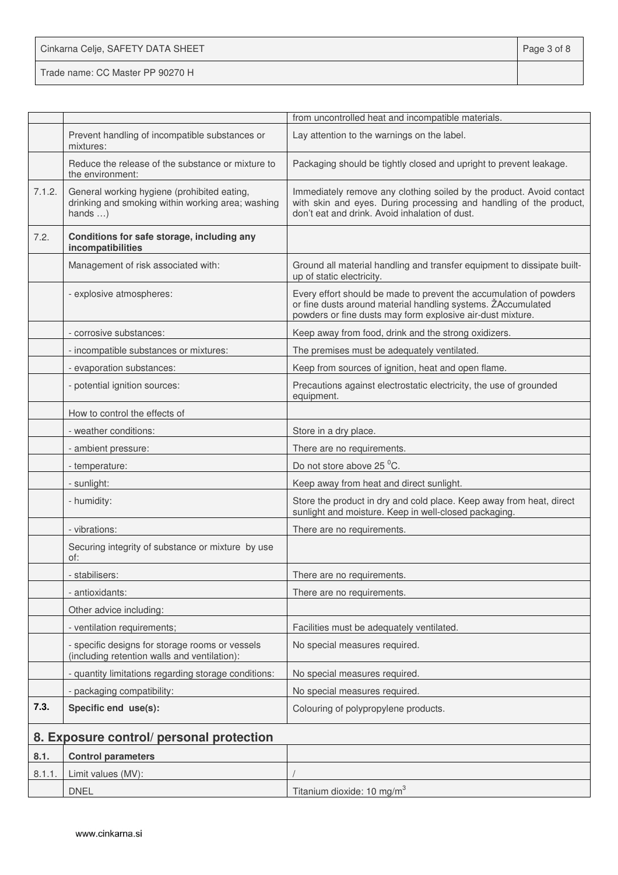| Cinkarna Celje, SAFETY DATA SHEET | Page 3 of 8 |
|-----------------------------------|-------------|
|-----------------------------------|-------------|

Trade name: CC Master PP 90270 H

|               |                                                                                                                     | from uncontrolled heat and incompatible materials.                                                                                                                                               |
|---------------|---------------------------------------------------------------------------------------------------------------------|--------------------------------------------------------------------------------------------------------------------------------------------------------------------------------------------------|
|               | Prevent handling of incompatible substances or<br>mixtures:                                                         | Lay attention to the warnings on the label.                                                                                                                                                      |
|               | Reduce the release of the substance or mixture to<br>the environment:                                               | Packaging should be tightly closed and upright to prevent leakage.                                                                                                                               |
| 7.1.2.        | General working hygiene (prohibited eating,<br>drinking and smoking within working area; washing<br>hands $\dots$ ) | Immediately remove any clothing soiled by the product. Avoid contact<br>with skin and eyes. During processing and handling of the product,<br>don't eat and drink. Avoid inhalation of dust.     |
| 7.2.          | Conditions for safe storage, including any<br>incompatibilities                                                     |                                                                                                                                                                                                  |
|               | Management of risk associated with:                                                                                 | Ground all material handling and transfer equipment to dissipate built-<br>up of static electricity.                                                                                             |
|               | - explosive atmospheres:                                                                                            | Every effort should be made to prevent the accumulation of powders<br>or fine dusts around material handling systems. ZAccumulated<br>powders or fine dusts may form explosive air-dust mixture. |
|               | - corrosive substances:                                                                                             | Keep away from food, drink and the strong oxidizers.                                                                                                                                             |
|               | - incompatible substances or mixtures:                                                                              | The premises must be adequately ventilated.                                                                                                                                                      |
|               | - evaporation substances:                                                                                           | Keep from sources of ignition, heat and open flame.                                                                                                                                              |
|               | - potential ignition sources:                                                                                       | Precautions against electrostatic electricity, the use of grounded<br>equipment.                                                                                                                 |
|               | How to control the effects of                                                                                       |                                                                                                                                                                                                  |
|               | - weather conditions:                                                                                               | Store in a dry place.                                                                                                                                                                            |
|               | - ambient pressure:                                                                                                 | There are no requirements.                                                                                                                                                                       |
|               | - temperature:                                                                                                      | Do not store above 25 °C.                                                                                                                                                                        |
|               | - sunlight:                                                                                                         | Keep away from heat and direct sunlight.                                                                                                                                                         |
|               | - humidity:                                                                                                         | Store the product in dry and cold place. Keep away from heat, direct<br>sunlight and moisture. Keep in well-closed packaging.                                                                    |
| - vibrations: |                                                                                                                     | There are no requirements.                                                                                                                                                                       |
|               | Securing integrity of substance or mixture by use<br>of:                                                            |                                                                                                                                                                                                  |
|               | stabilisers:                                                                                                        | There are no requirements.                                                                                                                                                                       |
|               | - antioxidants:                                                                                                     | There are no requirements.                                                                                                                                                                       |
|               | Other advice including:                                                                                             |                                                                                                                                                                                                  |
|               | - ventilation requirements;                                                                                         | Facilities must be adequately ventilated.                                                                                                                                                        |
|               | - specific designs for storage rooms or vessels<br>(including retention walls and ventilation):                     | No special measures required.                                                                                                                                                                    |
|               | - quantity limitations regarding storage conditions:                                                                | No special measures required.                                                                                                                                                                    |
|               | - packaging compatibility:                                                                                          | No special measures required.                                                                                                                                                                    |
| 7.3.          | Specific end use(s):                                                                                                | Colouring of polypropylene products.                                                                                                                                                             |
|               | 8. Exposure control/ personal protection                                                                            |                                                                                                                                                                                                  |
| 8.1.          | <b>Control parameters</b>                                                                                           |                                                                                                                                                                                                  |
| 8.1.1.        | Limit values (MV):                                                                                                  |                                                                                                                                                                                                  |
|               | <b>DNEL</b>                                                                                                         | Titanium dioxide: 10 mg/m <sup>3</sup>                                                                                                                                                           |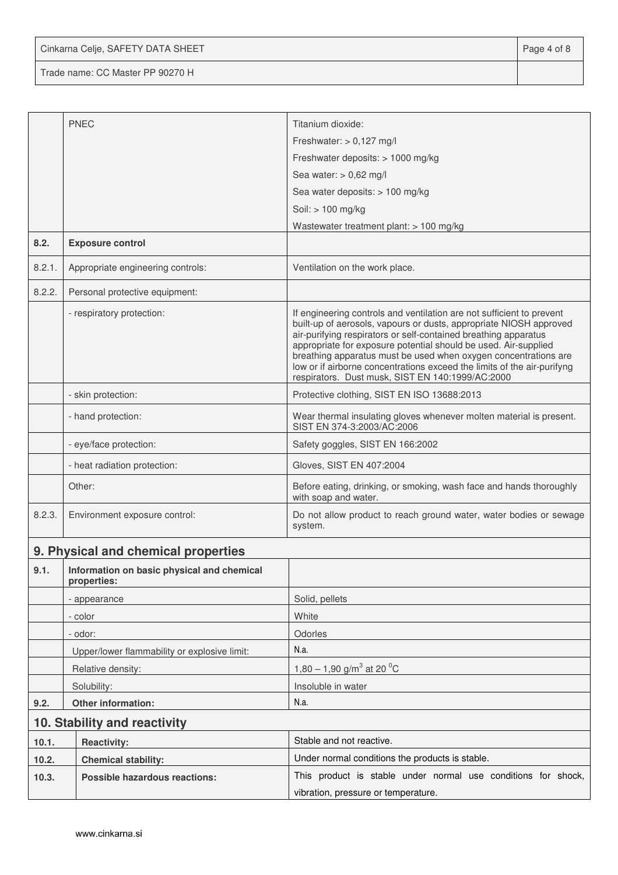Cinkarna Celje, SAFETY DATA SHEET **Page 4 of 8** 

Trade name: CC Master PP 90270 H

|        | <b>PNEC</b>                                               | Titanium dioxide:                                                                                                                                                                                                                                                                                                                                                                                                                                                                   |  |
|--------|-----------------------------------------------------------|-------------------------------------------------------------------------------------------------------------------------------------------------------------------------------------------------------------------------------------------------------------------------------------------------------------------------------------------------------------------------------------------------------------------------------------------------------------------------------------|--|
|        |                                                           | Freshwater: $> 0,127$ mg/l                                                                                                                                                                                                                                                                                                                                                                                                                                                          |  |
|        |                                                           | Freshwater deposits: > 1000 mg/kg                                                                                                                                                                                                                                                                                                                                                                                                                                                   |  |
|        |                                                           | Sea water: $> 0,62$ mg/l                                                                                                                                                                                                                                                                                                                                                                                                                                                            |  |
|        |                                                           | Sea water deposits: > 100 mg/kg                                                                                                                                                                                                                                                                                                                                                                                                                                                     |  |
|        |                                                           | Soil: > 100 mg/kg                                                                                                                                                                                                                                                                                                                                                                                                                                                                   |  |
|        |                                                           | Wastewater treatment plant: > 100 mg/kg                                                                                                                                                                                                                                                                                                                                                                                                                                             |  |
| 8.2.   | <b>Exposure control</b>                                   |                                                                                                                                                                                                                                                                                                                                                                                                                                                                                     |  |
| 8.2.1. | Appropriate engineering controls:                         | Ventilation on the work place.                                                                                                                                                                                                                                                                                                                                                                                                                                                      |  |
| 8.2.2. | Personal protective equipment:                            |                                                                                                                                                                                                                                                                                                                                                                                                                                                                                     |  |
|        | - respiratory protection:                                 | If engineering controls and ventilation are not sufficient to prevent<br>built-up of aerosols, vapours or dusts, appropriate NIOSH approved<br>air-purifying respirators or self-contained breathing apparatus<br>appropriate for exposure potential should be used. Air-supplied<br>breathing apparatus must be used when oxygen concentrations are<br>low or if airborne concentrations exceed the limits of the air-purifyng<br>respirators. Dust musk, SIST EN 140:1999/AC:2000 |  |
|        | - skin protection:                                        | Protective clothing, SIST EN ISO 13688:2013                                                                                                                                                                                                                                                                                                                                                                                                                                         |  |
|        | - hand protection:                                        | Wear thermal insulating gloves whenever molten material is present.<br>SIST EN 374-3:2003/AC:2006                                                                                                                                                                                                                                                                                                                                                                                   |  |
|        | - eye/face protection:                                    | Safety goggles, SIST EN 166:2002                                                                                                                                                                                                                                                                                                                                                                                                                                                    |  |
|        | - heat radiation protection:                              | Gloves, SIST EN 407:2004                                                                                                                                                                                                                                                                                                                                                                                                                                                            |  |
|        | Other:                                                    | Before eating, drinking, or smoking, wash face and hands thoroughly<br>with soap and water.                                                                                                                                                                                                                                                                                                                                                                                         |  |
| 8.2.3. | Environment exposure control:                             | Do not allow product to reach ground water, water bodies or sewage<br>system.                                                                                                                                                                                                                                                                                                                                                                                                       |  |
|        | 9. Physical and chemical properties                       |                                                                                                                                                                                                                                                                                                                                                                                                                                                                                     |  |
| 9.1.   | Information on basic physical and chemical<br>properties: |                                                                                                                                                                                                                                                                                                                                                                                                                                                                                     |  |
|        | - appearance                                              | Solid, pellets                                                                                                                                                                                                                                                                                                                                                                                                                                                                      |  |
|        | - color                                                   | White                                                                                                                                                                                                                                                                                                                                                                                                                                                                               |  |
|        | - odor:                                                   | Odorles                                                                                                                                                                                                                                                                                                                                                                                                                                                                             |  |
|        | Upper/lower flammability or explosive limit:              | N.a.                                                                                                                                                                                                                                                                                                                                                                                                                                                                                |  |
|        | Relative density:                                         | 1,80 – 1,90 g/m <sup>3</sup> at 20 <sup>o</sup> C                                                                                                                                                                                                                                                                                                                                                                                                                                   |  |
|        | Solubility:                                               | Insoluble in water                                                                                                                                                                                                                                                                                                                                                                                                                                                                  |  |
| 9.2.   | Other information:                                        | N.a.                                                                                                                                                                                                                                                                                                                                                                                                                                                                                |  |
|        | 10. Stability and reactivity                              |                                                                                                                                                                                                                                                                                                                                                                                                                                                                                     |  |
| 10.1.  | <b>Reactivity:</b>                                        | Stable and not reactive.                                                                                                                                                                                                                                                                                                                                                                                                                                                            |  |
| 10.2.  | <b>Chemical stability:</b>                                | Under normal conditions the products is stable.                                                                                                                                                                                                                                                                                                                                                                                                                                     |  |
| 10.3.  | <b>Possible hazardous reactions:</b>                      | This product is stable under normal use conditions for shock,                                                                                                                                                                                                                                                                                                                                                                                                                       |  |
|        |                                                           | vibration, pressure or temperature.                                                                                                                                                                                                                                                                                                                                                                                                                                                 |  |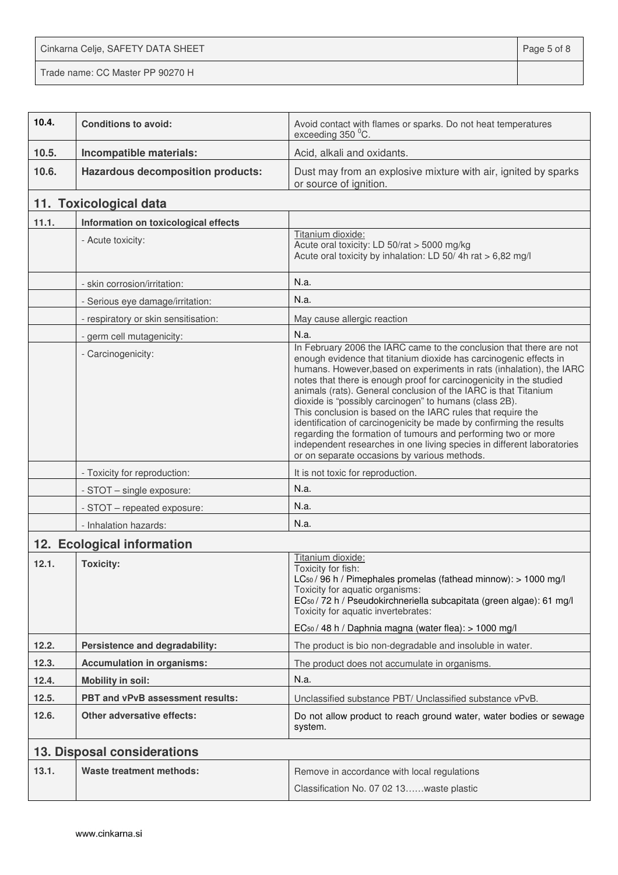Cinkarna Celje, SAFETY DATA SHEET **Page 5 of 8** Trade name: CC Master PP 90270 H

| 10.4.                     | <b>Conditions to avoid:</b>              | Avoid contact with flames or sparks. Do not heat temperatures<br>exceeding 350 °C.                                                                                                                                                                                                                                                                                                                                                                                                                                                                                                                                                                                                                                                                    |  |  |
|---------------------------|------------------------------------------|-------------------------------------------------------------------------------------------------------------------------------------------------------------------------------------------------------------------------------------------------------------------------------------------------------------------------------------------------------------------------------------------------------------------------------------------------------------------------------------------------------------------------------------------------------------------------------------------------------------------------------------------------------------------------------------------------------------------------------------------------------|--|--|
| 10.5.                     | Incompatible materials:                  | Acid, alkali and oxidants.                                                                                                                                                                                                                                                                                                                                                                                                                                                                                                                                                                                                                                                                                                                            |  |  |
| 10.6.                     | <b>Hazardous decomposition products:</b> | Dust may from an explosive mixture with air, ignited by sparks<br>or source of ignition.                                                                                                                                                                                                                                                                                                                                                                                                                                                                                                                                                                                                                                                              |  |  |
|                           | 11. Toxicological data                   |                                                                                                                                                                                                                                                                                                                                                                                                                                                                                                                                                                                                                                                                                                                                                       |  |  |
| 11.1.                     | Information on toxicological effects     |                                                                                                                                                                                                                                                                                                                                                                                                                                                                                                                                                                                                                                                                                                                                                       |  |  |
|                           | - Acute toxicity:                        | Titanium dioxide:<br>Acute oral toxicity: LD 50/rat > 5000 mg/kg<br>Acute oral toxicity by inhalation: LD 50/4h rat > 6,82 mg/l                                                                                                                                                                                                                                                                                                                                                                                                                                                                                                                                                                                                                       |  |  |
|                           | - skin corrosion/irritation:             | N.a.                                                                                                                                                                                                                                                                                                                                                                                                                                                                                                                                                                                                                                                                                                                                                  |  |  |
|                           | - Serious eye damage/irritation:         | N.a.                                                                                                                                                                                                                                                                                                                                                                                                                                                                                                                                                                                                                                                                                                                                                  |  |  |
|                           | - respiratory or skin sensitisation:     | May cause allergic reaction                                                                                                                                                                                                                                                                                                                                                                                                                                                                                                                                                                                                                                                                                                                           |  |  |
|                           | - germ cell mutagenicity:                | N.a.                                                                                                                                                                                                                                                                                                                                                                                                                                                                                                                                                                                                                                                                                                                                                  |  |  |
|                           | - Carcinogenicity:                       | In February 2006 the IARC came to the conclusion that there are not<br>enough evidence that titanium dioxide has carcinogenic effects in<br>humans. However, based on experiments in rats (inhalation), the IARC<br>notes that there is enough proof for carcinogenicity in the studied<br>animals (rats). General conclusion of the IARC is that Titanium<br>dioxide is "possibly carcinogen" to humans (class 2B).<br>This conclusion is based on the IARC rules that require the<br>identification of carcinogenicity be made by confirming the results<br>regarding the formation of tumours and performing two or more<br>independent researches in one living species in different laboratories<br>or on separate occasions by various methods. |  |  |
|                           | - Toxicity for reproduction:             | It is not toxic for reproduction.                                                                                                                                                                                                                                                                                                                                                                                                                                                                                                                                                                                                                                                                                                                     |  |  |
|                           | - STOT - single exposure:                | N.a.                                                                                                                                                                                                                                                                                                                                                                                                                                                                                                                                                                                                                                                                                                                                                  |  |  |
|                           | - STOT - repeated exposure:              | N.a.                                                                                                                                                                                                                                                                                                                                                                                                                                                                                                                                                                                                                                                                                                                                                  |  |  |
|                           | - Inhalation hazards:                    | N.a.                                                                                                                                                                                                                                                                                                                                                                                                                                                                                                                                                                                                                                                                                                                                                  |  |  |
|                           | 12. Ecological information               |                                                                                                                                                                                                                                                                                                                                                                                                                                                                                                                                                                                                                                                                                                                                                       |  |  |
| 12.1.<br><b>Toxicity:</b> |                                          | Titanium dioxide:<br>Toxicity for fish:<br>LC <sub>50</sub> / 96 h / Pimephales promelas (fathead minnow): > 1000 mg/l<br>Toxicity for aquatic organisms:<br>EC <sub>50</sub> / 72 h / Pseudokirchneriella subcapitata (green algae): 61 mg/l<br>Toxicity for aquatic invertebrates:<br>EC <sub>50</sub> / 48 h / Daphnia magna (water flea): > 1000 mg/l                                                                                                                                                                                                                                                                                                                                                                                             |  |  |
| 12.2.                     | Persistence and degradability:           | The product is bio non-degradable and insoluble in water.                                                                                                                                                                                                                                                                                                                                                                                                                                                                                                                                                                                                                                                                                             |  |  |
| 12.3.                     | <b>Accumulation in organisms:</b>        | The product does not accumulate in organisms.                                                                                                                                                                                                                                                                                                                                                                                                                                                                                                                                                                                                                                                                                                         |  |  |
| 12.4.                     | <b>Mobility in soil:</b>                 | N.a.                                                                                                                                                                                                                                                                                                                                                                                                                                                                                                                                                                                                                                                                                                                                                  |  |  |
| 12.5.                     | PBT and vPvB assessment results:         | Unclassified substance PBT/ Unclassified substance vPvB.                                                                                                                                                                                                                                                                                                                                                                                                                                                                                                                                                                                                                                                                                              |  |  |
| 12.6.                     | <b>Other adversative effects:</b>        | Do not allow product to reach ground water, water bodies or sewage                                                                                                                                                                                                                                                                                                                                                                                                                                                                                                                                                                                                                                                                                    |  |  |
|                           |                                          | system.                                                                                                                                                                                                                                                                                                                                                                                                                                                                                                                                                                                                                                                                                                                                               |  |  |
|                           | 13. Disposal considerations              |                                                                                                                                                                                                                                                                                                                                                                                                                                                                                                                                                                                                                                                                                                                                                       |  |  |
| 13.1.                     | Waste treatment methods:                 | Remove in accordance with local regulations<br>Classification No. 07 02 13waste plastic                                                                                                                                                                                                                                                                                                                                                                                                                                                                                                                                                                                                                                                               |  |  |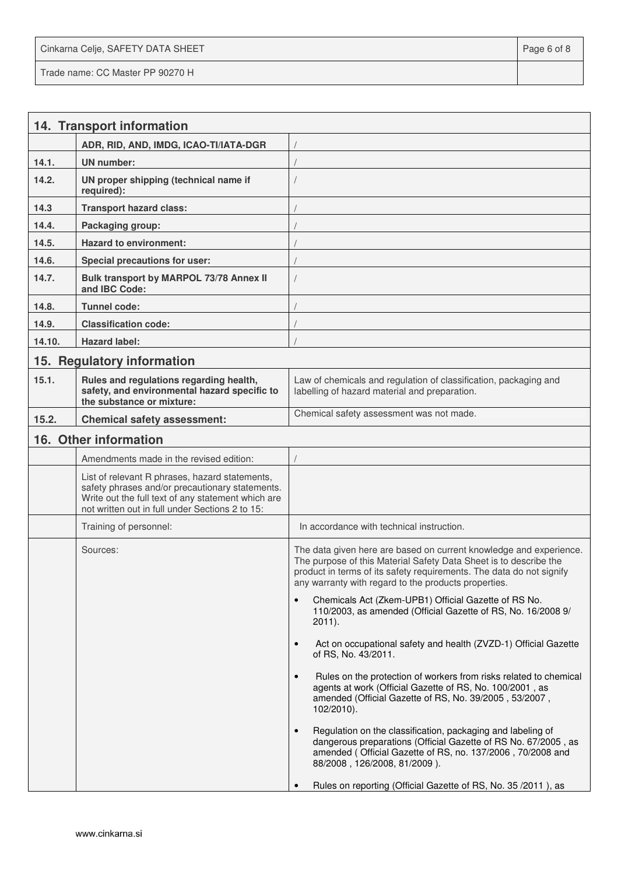Cinkarna Celje, SAFETY DATA SHEET **Page 6 of 8** and 2011 12 and 2012 12 and 2012 12 and 2012 12 and 2012 12 and 201 Trade name: CC Master PP 90270 H

|        | 14. Transport information                                                                                                                                                                                  |                                                                                                                                                                                                                                                                         |  |  |  |
|--------|------------------------------------------------------------------------------------------------------------------------------------------------------------------------------------------------------------|-------------------------------------------------------------------------------------------------------------------------------------------------------------------------------------------------------------------------------------------------------------------------|--|--|--|
|        | ADR, RID, AND, IMDG, ICAO-TI/IATA-DGR                                                                                                                                                                      |                                                                                                                                                                                                                                                                         |  |  |  |
| 14.1.  | <b>UN</b> number:                                                                                                                                                                                          |                                                                                                                                                                                                                                                                         |  |  |  |
| 14.2.  | UN proper shipping (technical name if<br>required):                                                                                                                                                        |                                                                                                                                                                                                                                                                         |  |  |  |
| 14.3   | <b>Transport hazard class:</b>                                                                                                                                                                             |                                                                                                                                                                                                                                                                         |  |  |  |
| 14.4.  | Packaging group:                                                                                                                                                                                           |                                                                                                                                                                                                                                                                         |  |  |  |
| 14.5.  | <b>Hazard to environment:</b>                                                                                                                                                                              |                                                                                                                                                                                                                                                                         |  |  |  |
| 14.6.  | <b>Special precautions for user:</b>                                                                                                                                                                       |                                                                                                                                                                                                                                                                         |  |  |  |
| 14.7.  | Bulk transport by MARPOL 73/78 Annex II<br>and IBC Code:                                                                                                                                                   |                                                                                                                                                                                                                                                                         |  |  |  |
| 14.8.  | Tunnel code:                                                                                                                                                                                               |                                                                                                                                                                                                                                                                         |  |  |  |
| 14.9.  | <b>Classification code:</b>                                                                                                                                                                                |                                                                                                                                                                                                                                                                         |  |  |  |
| 14.10. | <b>Hazard label:</b>                                                                                                                                                                                       |                                                                                                                                                                                                                                                                         |  |  |  |
|        | 15. Regulatory information                                                                                                                                                                                 |                                                                                                                                                                                                                                                                         |  |  |  |
| 15.1.  | Rules and regulations regarding health,<br>safety, and environmental hazard specific to<br>the substance or mixture:                                                                                       | Law of chemicals and regulation of classification, packaging and<br>labelling of hazard material and preparation.                                                                                                                                                       |  |  |  |
| 15.2.  | <b>Chemical safety assessment:</b>                                                                                                                                                                         | Chemical safety assessment was not made.                                                                                                                                                                                                                                |  |  |  |
|        | 16. Other information                                                                                                                                                                                      |                                                                                                                                                                                                                                                                         |  |  |  |
|        | Amendments made in the revised edition:                                                                                                                                                                    |                                                                                                                                                                                                                                                                         |  |  |  |
|        | List of relevant R phrases, hazard statements,<br>safety phrases and/or precautionary statements.<br>Write out the full text of any statement which are<br>not written out in full under Sections 2 to 15: |                                                                                                                                                                                                                                                                         |  |  |  |
|        | Training of personnel:                                                                                                                                                                                     | In accordance with technical instruction.                                                                                                                                                                                                                               |  |  |  |
|        | Sources:                                                                                                                                                                                                   | The data given here are based on current knowledge and experience.<br>The purpose of this Material Safety Data Sheet is to describe the<br>product in terms of its safety requirements. The data do not signify<br>any warranty with regard to the products properties. |  |  |  |
|        |                                                                                                                                                                                                            | Chemicals Act (Zkem-UPB1) Official Gazette of RS No.<br>$\bullet$<br>110/2003, as amended (Official Gazette of RS, No. 16/2008 9/<br>$2011$ ).                                                                                                                          |  |  |  |
|        |                                                                                                                                                                                                            | Act on occupational safety and health (ZVZD-1) Official Gazette<br>$\bullet$<br>of RS, No. 43/2011.                                                                                                                                                                     |  |  |  |
|        |                                                                                                                                                                                                            | Rules on the protection of workers from risks related to chemical<br>$\bullet$<br>agents at work (Official Gazette of RS, No. 100/2001, as<br>amended (Official Gazette of RS, No. 39/2005, 53/2007,<br>102/2010).                                                      |  |  |  |
|        |                                                                                                                                                                                                            | Regulation on the classification, packaging and labeling of<br>$\bullet$<br>dangerous preparations (Official Gazette of RS No. 67/2005, as<br>amended (Official Gazette of RS, no. 137/2006, 70/2008 and<br>88/2008, 126/2008, 81/2009).                                |  |  |  |
|        |                                                                                                                                                                                                            | Rules on reporting (Official Gazette of RS, No. 35 / 2011), as                                                                                                                                                                                                          |  |  |  |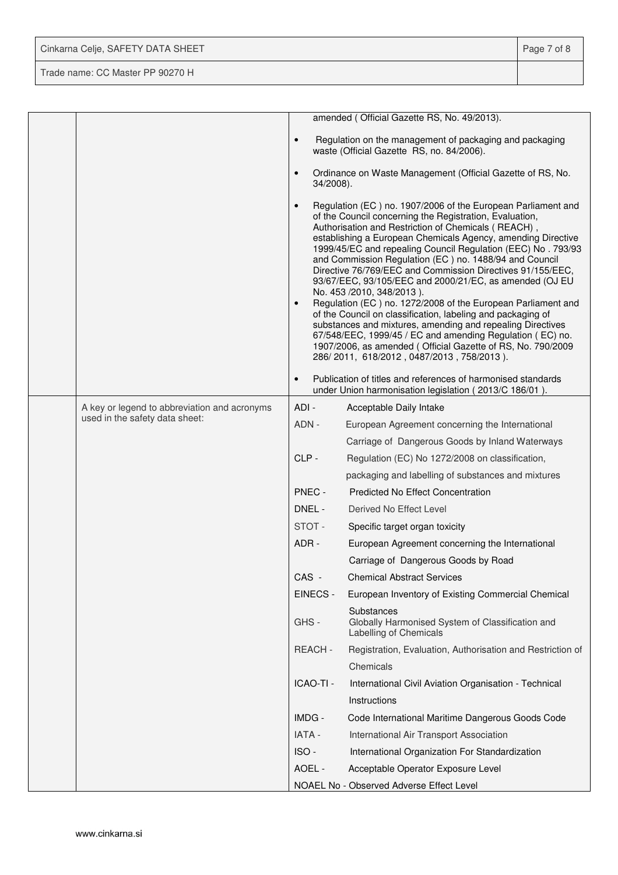| Cinkarna Celje, SAFETY DATA SHEET | Page 7 of 8 |
|-----------------------------------|-------------|
| Trade name: CC Master PP 90270 H  |             |

|  |                                              |                        | amended (Official Gazette RS, No. 49/2013).                                                                                                                                                                                                                                                                                                                                                                                                                                                                                                                                                                                                                                                                                                                                                                                                                                                          |
|--|----------------------------------------------|------------------------|------------------------------------------------------------------------------------------------------------------------------------------------------------------------------------------------------------------------------------------------------------------------------------------------------------------------------------------------------------------------------------------------------------------------------------------------------------------------------------------------------------------------------------------------------------------------------------------------------------------------------------------------------------------------------------------------------------------------------------------------------------------------------------------------------------------------------------------------------------------------------------------------------|
|  |                                              | $\bullet$              | Regulation on the management of packaging and packaging<br>waste (Official Gazette RS, no. 84/2006).                                                                                                                                                                                                                                                                                                                                                                                                                                                                                                                                                                                                                                                                                                                                                                                                 |
|  |                                              | $\bullet$<br>34/2008). | Ordinance on Waste Management (Official Gazette of RS, No.                                                                                                                                                                                                                                                                                                                                                                                                                                                                                                                                                                                                                                                                                                                                                                                                                                           |
|  |                                              | $\bullet$<br>$\bullet$ | Regulation (EC) no. 1907/2006 of the European Parliament and<br>of the Council concerning the Registration, Evaluation,<br>Authorisation and Restriction of Chemicals (REACH),<br>establishing a European Chemicals Agency, amending Directive<br>1999/45/EC and repealing Council Regulation (EEC) No. 793/93<br>and Commission Regulation (EC) no. 1488/94 and Council<br>Directive 76/769/EEC and Commission Directives 91/155/EEC,<br>93/67/EEC, 93/105/EEC and 2000/21/EC, as amended (OJ EU<br>No. 453 /2010, 348/2013).<br>Regulation (EC) no. 1272/2008 of the European Parliament and<br>of the Council on classification, labeling and packaging of<br>substances and mixtures, amending and repealing Directives<br>67/548/EEC, 1999/45 / EC and amending Regulation (EC) no.<br>1907/2006, as amended (Official Gazette of RS, No. 790/2009<br>286/2011, 618/2012, 0487/2013, 758/2013). |
|  |                                              | $\bullet$              | Publication of titles and references of harmonised standards<br>under Union harmonisation legislation (2013/C 186/01).                                                                                                                                                                                                                                                                                                                                                                                                                                                                                                                                                                                                                                                                                                                                                                               |
|  | A key or legend to abbreviation and acronyms | ADI-                   | Acceptable Daily Intake                                                                                                                                                                                                                                                                                                                                                                                                                                                                                                                                                                                                                                                                                                                                                                                                                                                                              |
|  | used in the safety data sheet:               | ADN -                  | European Agreement concerning the International                                                                                                                                                                                                                                                                                                                                                                                                                                                                                                                                                                                                                                                                                                                                                                                                                                                      |
|  |                                              |                        | Carriage of Dangerous Goods by Inland Waterways                                                                                                                                                                                                                                                                                                                                                                                                                                                                                                                                                                                                                                                                                                                                                                                                                                                      |
|  |                                              | CLP-                   | Regulation (EC) No 1272/2008 on classification,                                                                                                                                                                                                                                                                                                                                                                                                                                                                                                                                                                                                                                                                                                                                                                                                                                                      |
|  |                                              |                        | packaging and labelling of substances and mixtures                                                                                                                                                                                                                                                                                                                                                                                                                                                                                                                                                                                                                                                                                                                                                                                                                                                   |
|  |                                              | PNEC -                 | <b>Predicted No Effect Concentration</b>                                                                                                                                                                                                                                                                                                                                                                                                                                                                                                                                                                                                                                                                                                                                                                                                                                                             |
|  |                                              | DNEL -                 | Derived No Effect Level                                                                                                                                                                                                                                                                                                                                                                                                                                                                                                                                                                                                                                                                                                                                                                                                                                                                              |
|  |                                              | STOT-                  | Specific target organ toxicity                                                                                                                                                                                                                                                                                                                                                                                                                                                                                                                                                                                                                                                                                                                                                                                                                                                                       |
|  |                                              | ADR-                   | European Agreement concerning the International                                                                                                                                                                                                                                                                                                                                                                                                                                                                                                                                                                                                                                                                                                                                                                                                                                                      |
|  |                                              |                        | Carriage of Dangerous Goods by Road                                                                                                                                                                                                                                                                                                                                                                                                                                                                                                                                                                                                                                                                                                                                                                                                                                                                  |
|  |                                              | CAS -                  | <b>Chemical Abstract Services</b>                                                                                                                                                                                                                                                                                                                                                                                                                                                                                                                                                                                                                                                                                                                                                                                                                                                                    |
|  |                                              | EINECS -               | European Inventory of Existing Commercial Chemical                                                                                                                                                                                                                                                                                                                                                                                                                                                                                                                                                                                                                                                                                                                                                                                                                                                   |
|  |                                              | GHS-                   | Substances<br>Globally Harmonised System of Classification and<br>Labelling of Chemicals                                                                                                                                                                                                                                                                                                                                                                                                                                                                                                                                                                                                                                                                                                                                                                                                             |
|  |                                              | REACH-                 | Registration, Evaluation, Authorisation and Restriction of                                                                                                                                                                                                                                                                                                                                                                                                                                                                                                                                                                                                                                                                                                                                                                                                                                           |
|  |                                              |                        | Chemicals                                                                                                                                                                                                                                                                                                                                                                                                                                                                                                                                                                                                                                                                                                                                                                                                                                                                                            |
|  |                                              | ICAO-TI -              | International Civil Aviation Organisation - Technical                                                                                                                                                                                                                                                                                                                                                                                                                                                                                                                                                                                                                                                                                                                                                                                                                                                |
|  |                                              |                        | Instructions                                                                                                                                                                                                                                                                                                                                                                                                                                                                                                                                                                                                                                                                                                                                                                                                                                                                                         |
|  |                                              | IMDG -                 | Code International Maritime Dangerous Goods Code                                                                                                                                                                                                                                                                                                                                                                                                                                                                                                                                                                                                                                                                                                                                                                                                                                                     |
|  |                                              | IATA -                 | International Air Transport Association                                                                                                                                                                                                                                                                                                                                                                                                                                                                                                                                                                                                                                                                                                                                                                                                                                                              |
|  |                                              | ISO-                   | International Organization For Standardization                                                                                                                                                                                                                                                                                                                                                                                                                                                                                                                                                                                                                                                                                                                                                                                                                                                       |
|  |                                              | AOEL -                 | Acceptable Operator Exposure Level                                                                                                                                                                                                                                                                                                                                                                                                                                                                                                                                                                                                                                                                                                                                                                                                                                                                   |
|  |                                              |                        | NOAEL No - Observed Adverse Effect Level                                                                                                                                                                                                                                                                                                                                                                                                                                                                                                                                                                                                                                                                                                                                                                                                                                                             |